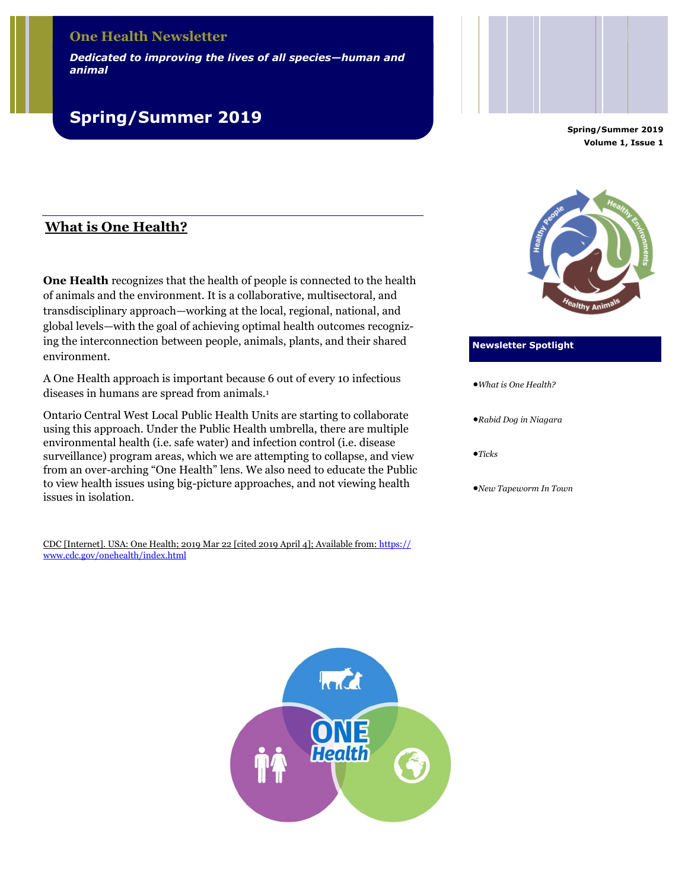# **One Health Newsletter**

*Dedicated to improving the lives of all species—human and animal*

# **Spring/Summer 2019**

**Spring/Summer 2019 Volume 1, Issue 1**

# **What is One Health?**

**One Health** recognizes that the health of people is connected to the health of animals and the environment. It is a collaborative, multisectoral, and transdisciplinary approach—working at the local, regional, national, and global levels—with the goal of achieving optimal health outcomes recognizing the interconnection between people, animals, plants, and their shared environment.

A One Health approach is important because 6 out of every 10 infectious diseases in humans are spread from animals.<sup>1</sup>

Ontario Central West Local Public Health Units are starting to collaborate using this approach. Under the Public Health umbrella, there are multiple environmental health (i.e. safe water) and infection control (i.e. disease surveillance) program areas, which we are attempting to collapse, and view from an over-arching "One Health" lens. We also need to educate the Public to view health issues using big-picture approaches, and not viewing health issues in isolation.

CDC [Internet]. USA: One Health; 2019 Mar 22 [cited 2019 April 4]; Available from: [https://](https://www.cdc.gov/onehealth/index.html) [www.cdc.gov/onehealth/index.html](https://www.cdc.gov/onehealth/index.html)



#### **Newsletter Spotlight**

*What is One Health?*

*Rabid Dog in Niagara*

 $\bullet$ *Ticks* 

*New Tapeworm In Town*

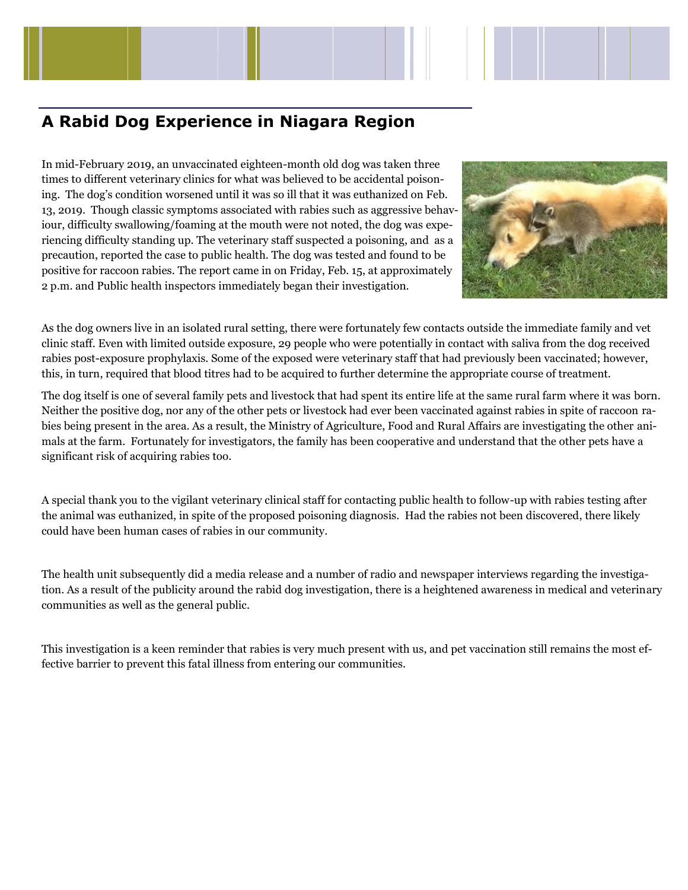# **A Rabid Dog Experience in Niagara Region**

In mid-February 2019, an unvaccinated eighteen-month old dog was taken three times to different veterinary clinics for what was believed to be accidental poisoning. The dog's condition worsened until it was so ill that it was euthanized on Feb. 13, 2019. Though classic symptoms associated with rabies such as aggressive behaviour, difficulty swallowing/foaming at the mouth were not noted, the dog was experiencing difficulty standing up. The veterinary staff suspected a poisoning, and as a precaution, reported the case to public health. The dog was tested and found to be positive for raccoon rabies. The report came in on Friday, Feb. 15, at approximately 2 p.m. and Public health inspectors immediately began their investigation.



As the dog owners live in an isolated rural setting, there were fortunately few contacts outside the immediate family and vet clinic staff. Even with limited outside exposure, 29 people who were potentially in contact with saliva from the dog received rabies post-exposure prophylaxis. Some of the exposed were veterinary staff that had previously been vaccinated; however, this, in turn, required that blood titres had to be acquired to further determine the appropriate course of treatment.

The dog itself is one of several family pets and livestock that had spent its entire life at the same rural farm where it was born. Neither the positive dog, nor any of the other pets or livestock had ever been vaccinated against rabies in spite of raccoon rabies being present in the area. As a result, the Ministry of Agriculture, Food and Rural Affairs are investigating the other animals at the farm. Fortunately for investigators, the family has been cooperative and understand that the other pets have a significant risk of acquiring rabies too.

A special thank you to the vigilant veterinary clinical staff for contacting public health to follow-up with rabies testing after the animal was euthanized, in spite of the proposed poisoning diagnosis. Had the rabies not been discovered, there likely could have been human cases of rabies in our community.

The health unit subsequently did a media release and a number of radio and newspaper interviews regarding the investigation. As a result of the publicity around the rabid dog investigation, there is a heightened awareness in medical and veterinary communities as well as the general public.

This investigation is a keen reminder that rabies is very much present with us, and pet vaccination still remains the most effective barrier to prevent this fatal illness from entering our communities.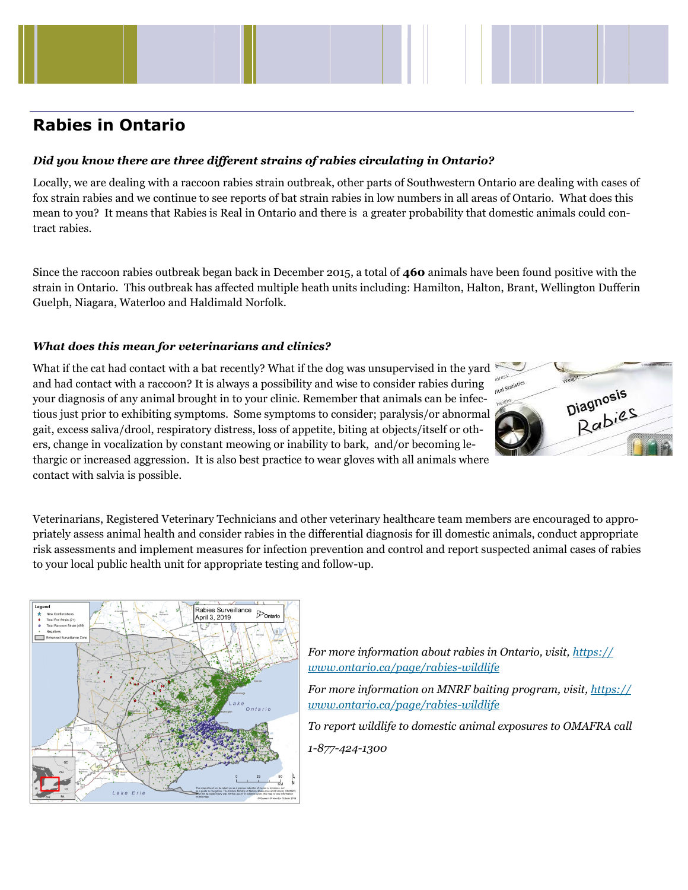# **Rabies in Ontario**

# *Did you know there are three different strains of rabies circulating in Ontario?*

Locally, we are dealing with a raccoon rabies strain outbreak, other parts of Southwestern Ontario are dealing with cases of fox strain rabies and we continue to see reports of bat strain rabies in low numbers in all areas of Ontario. What does this mean to you? It means that Rabies is Real in Ontario and there is a greater probability that domestic animals could contract rabies.

Since the raccoon rabies outbreak began back in December 2015, a total of **460** animals have been found positive with the strain in Ontario. This outbreak has affected multiple heath units including: Hamilton, Halton, Brant, Wellington Dufferin Guelph, Niagara, Waterloo and Haldimald Norfolk.

## *What does this mean for veterinarians and clinics?*

What if the cat had contact with a bat recently? What if the dog was unsupervised in the yard and had contact with a raccoon? It is always a possibility and wise to consider rabies during your diagnosis of any animal brought in to your clinic. Remember that animals can be infectious just prior to exhibiting symptoms. Some symptoms to consider; paralysis/or abnormal gait, excess saliva/drool, respiratory distress, loss of appetite, biting at objects/itself or others, change in vocalization by constant meowing or inability to bark, and/or becoming lethargic or increased aggression. It is also best practice to wear gloves with all animals where contact with salvia is possible.



Veterinarians, Registered Veterinary Technicians and other veterinary healthcare team members are encouraged to appropriately assess animal health and consider rabies in the differential diagnosis for ill domestic animals, conduct appropriate risk assessments and implement measures for infection prevention and control and report suspected animal cases of rabies to your local public health unit for appropriate testing and follow-up.



*For more information about rabies in Ontario, visit, [https://](https://www.ontario.ca/page/rabies-wildlife) [www.ontario.ca/page/rabies-wildlife](https://www.ontario.ca/page/rabies-wildlife)*

*For more information on MNRF baiting program, visit, [https://](https://www.ontario.ca/page/rabies-wildlife) [www.ontario.ca/page/rabies-wildlife](https://www.ontario.ca/page/rabies-wildlife)*

*To report wildlife to domestic animal exposures to OMAFRA call*

*1-877-424-1300*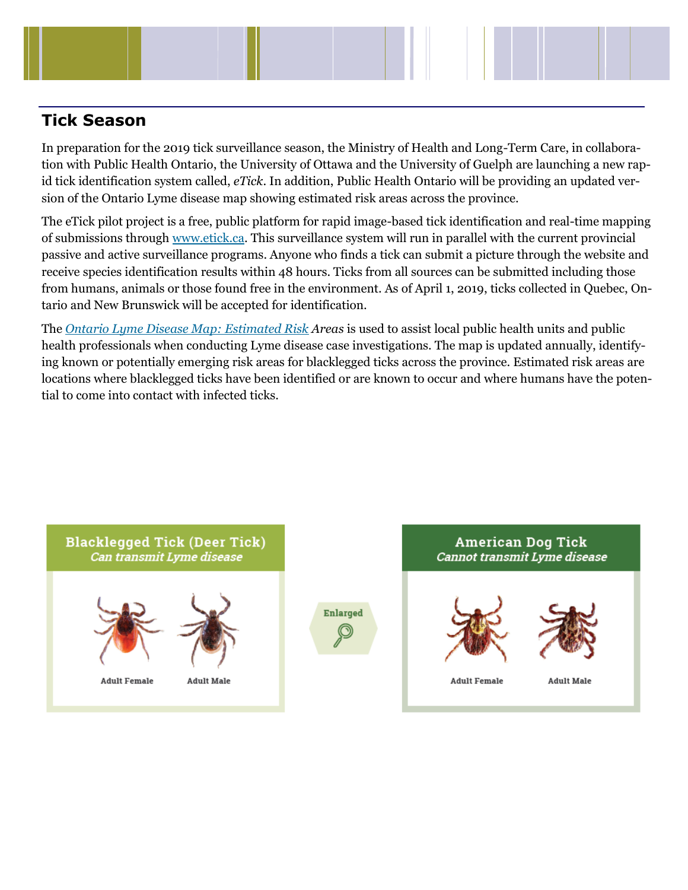

# **Tick Season**

In preparation for the 2019 tick surveillance season, the Ministry of Health and Long-Term Care, in collaboration with Public Health Ontario, the University of Ottawa and the University of Guelph are launching a new rapid tick identification system called, *eTick*. In addition, Public Health Ontario will be providing an updated version of the Ontario Lyme disease map showing estimated risk areas across the province.

The eTick pilot project is a free, public platform for rapid image-based tick identification and real-time mapping of submissions through [www.etick.ca.](http://www.etick.ca) This surveillance system will run in parallel with the current provincial passive and active surveillance programs. Anyone who finds a tick can submit a picture through the website and receive species identification results within 48 hours. Ticks from all sources can be submitted including those from humans, animals or those found free in the environment. As of April 1, 2019, ticks collected in Quebec, Ontario and New Brunswick will be accepted for identification.

The *[Ontario Lyme Disease Map: Estimated Risk](https://www.publichealthontario.ca/-/media/documents/lyme-disease-risk-area-map-2018.pdf?la=en) Areas* is used to assist local public health units and public health professionals when conducting Lyme disease case investigations. The map is updated annually, identifying known or potentially emerging risk areas for blacklegged ticks across the province. Estimated risk areas are locations where blacklegged ticks have been identified or are known to occur and where humans have the potential to come into contact with infected ticks.

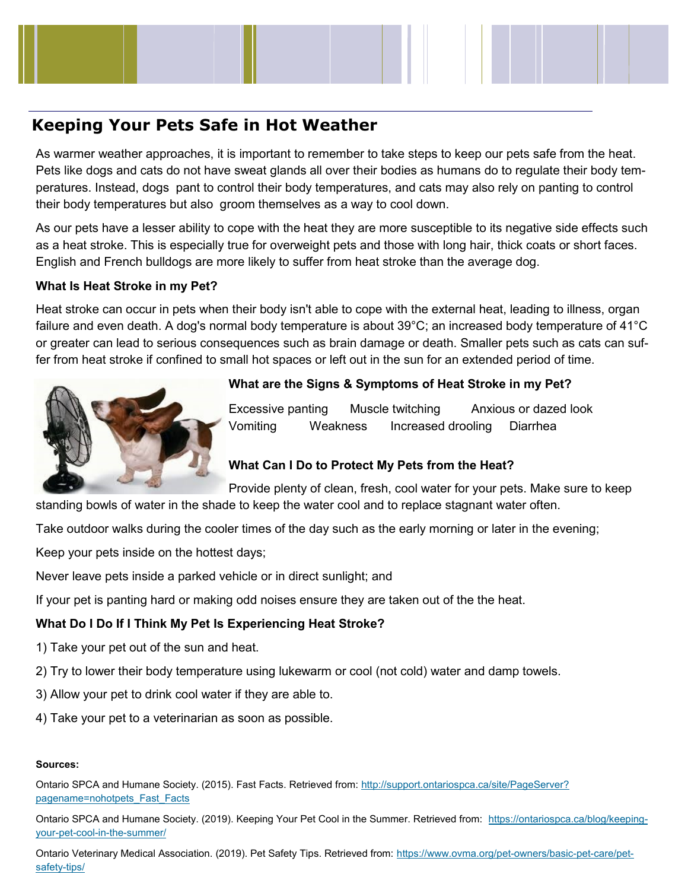# **Keeping Your Pets Safe in Hot Weather**

As warmer weather approaches, it is important to remember to take steps to keep our pets safe from the heat. Pets like dogs and cats do not have sweat glands all over their bodies as humans do to regulate their body temperatures. Instead, dogs pant to control their body temperatures, and cats may also rely on panting to control their body temperatures but also groom themselves as a way to cool down.

As our pets have a lesser ability to cope with the heat they are more susceptible to its negative side effects such as a heat stroke. This is especially true for overweight pets and those with long hair, thick coats or short faces. English and French bulldogs are more likely to suffer from heat stroke than the average dog.

# **What Is Heat Stroke in my Pet?**

Heat stroke can occur in pets when their body isn't able to cope with the external heat, leading to illness, organ failure and even death. A dog's normal body temperature is about 39°C; an increased body temperature of 41°C or greater can lead to serious consequences such as brain damage or death. Smaller pets such as cats can suffer from heat stroke if confined to small hot spaces or left out in the sun for an extended period of time.



# **What are the Signs & Symptoms of Heat Stroke in my Pet?**

Excessive panting Muscle twitching Anxious or dazed look Vomiting Weakness Increased drooling Diarrhea

# **What Can I Do to Protect My Pets from the Heat?**

Provide plenty of clean, fresh, cool water for your pets. Make sure to keep standing bowls of water in the shade to keep the water cool and to replace stagnant water often.

Take outdoor walks during the cooler times of the day such as the early morning or later in the evening;

Keep your pets inside on the hottest days;

Never leave pets inside a parked vehicle or in direct sunlight; and

If your pet is panting hard or making odd noises ensure they are taken out of the the heat.

# **What Do I Do If I Think My Pet Is Experiencing Heat Stroke?**

- 1) Take your pet out of the sun and heat.
- 2) Try to lower their body temperature using lukewarm or cool (not cold) water and damp towels.
- 3) Allow your pet to drink cool water if they are able to.
- 4) Take your pet to a veterinarian as soon as possible.

## **Sources:**

Ontario SPCA and Humane Society. (2015). Fast Facts. Retrieved from: [http://support.ontariospca.ca/site/PageServer?](http://support.ontariospca.ca/site/PageServer?pagename=nohotpets_Fast_Facts) [pagename=nohotpets\\_Fast\\_Facts](http://support.ontariospca.ca/site/PageServer?pagename=nohotpets_Fast_Facts)

Ontario SPCA and Humane Society. (2019). Keeping Your Pet Cool in the Summer. Retrieved from: [https://ontariospca.ca/blog/keeping](https://ontariospca.ca/blog/keeping-your-pet-cool-in-the-summer/)your-pet-cool-in-the-[summer/](https://ontariospca.ca/blog/keeping-your-pet-cool-in-the-summer/)

Ontario Veterinary Medical Association. (2019). Pet Safety Tips. Retrieved from: [https://www.ovma.org/pet](https://www.ovma.org/pet-owners/basic-pet-care/pet-safety-tips/)-owners/basic-pet-care/pet[safety](https://www.ovma.org/pet-owners/basic-pet-care/pet-safety-tips/)-tips/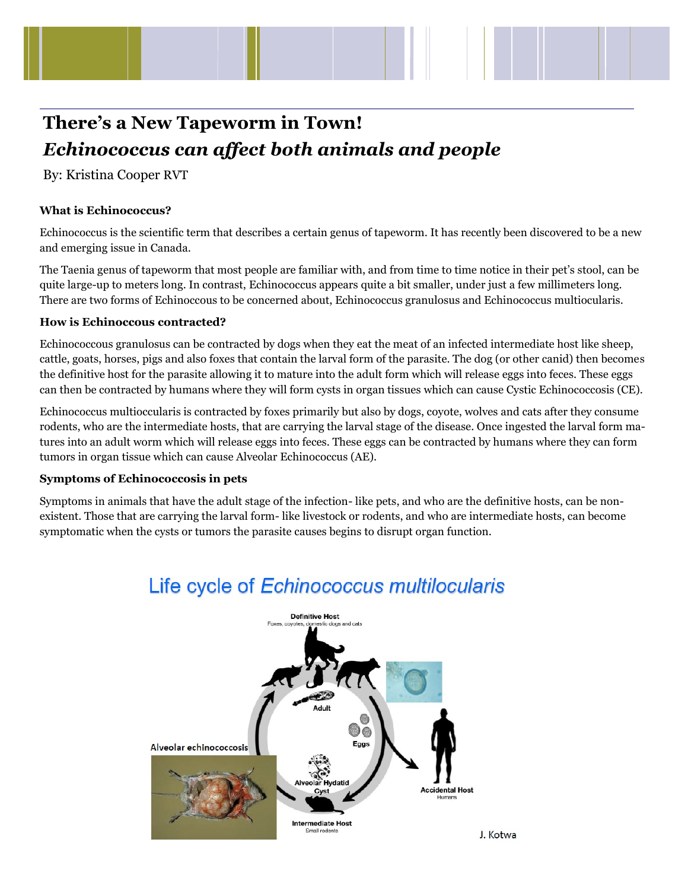

# **There's a New Tapeworm in Town!**  *Echinococcus can affect both animals and people*

By: Kristina Cooper RVT

# **What is Echinococcus?**

Echinococcus is the scientific term that describes a certain genus of tapeworm. It has recently been discovered to be a new and emerging issue in Canada.

The Taenia genus of tapeworm that most people are familiar with, and from time to time notice in their pet's stool, can be quite large-up to meters long. In contrast, Echinococcus appears quite a bit smaller, under just a few millimeters long. There are two forms of Echinoccous to be concerned about, Echinococcus granulosus and Echinococcus multiocularis.

## **How is Echinoccous contracted?**

Echinococcous granulosus can be contracted by dogs when they eat the meat of an infected intermediate host like sheep, cattle, goats, horses, pigs and also foxes that contain the larval form of the parasite. The dog (or other canid) then becomes the definitive host for the parasite allowing it to mature into the adult form which will release eggs into feces. These eggs can then be contracted by humans where they will form cysts in organ tissues which can cause Cystic Echinococcosis (CE).

Echinococcus multioccularis is contracted by foxes primarily but also by dogs, coyote, wolves and cats after they consume rodents, who are the intermediate hosts, that are carrying the larval stage of the disease. Once ingested the larval form matures into an adult worm which will release eggs into feces. These eggs can be contracted by humans where they can form tumors in organ tissue which can cause Alveolar Echinococcus (AE).

## **Symptoms of Echinococcosis in pets**

Symptoms in animals that have the adult stage of the infection- like pets, and who are the definitive hosts, can be nonexistent. Those that are carrying the larval form- like livestock or rodents, and who are intermediate hosts, can become symptomatic when the cysts or tumors the parasite causes begins to disrupt organ function.



# Life cycle of Echinococcus multilocularis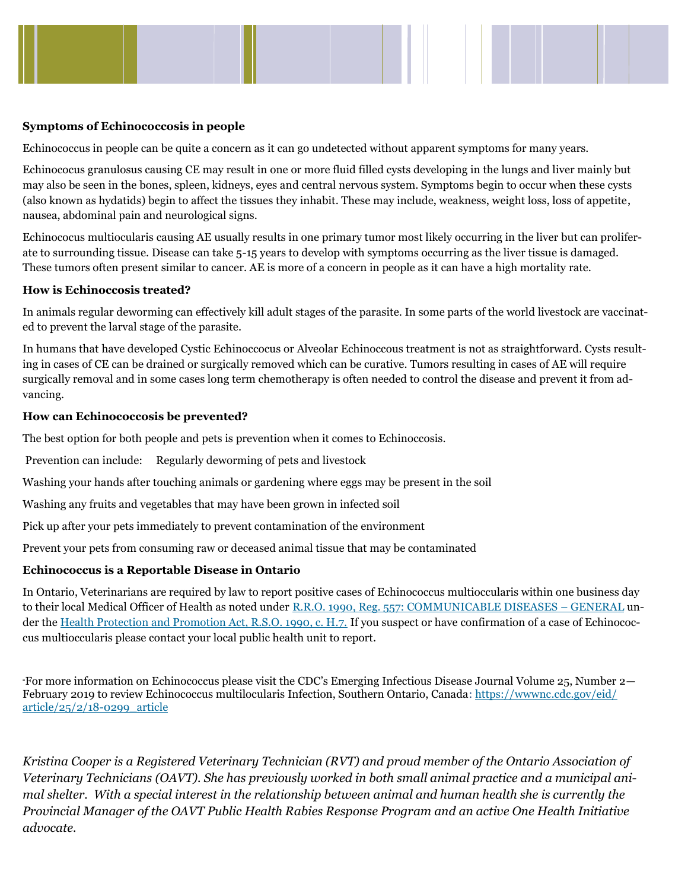

#### **Symptoms of Echinococcosis in people**

Echinococcus in people can be quite a concern as it can go undetected without apparent symptoms for many years.

Echinococus granulosus causing CE may result in one or more fluid filled cysts developing in the lungs and liver mainly but may also be seen in the bones, spleen, kidneys, eyes and central nervous system. Symptoms begin to occur when these cysts (also known as hydatids) begin to affect the tissues they inhabit. These may include, weakness, weight loss, loss of appetite, nausea, abdominal pain and neurological signs.

Echinococus multiocularis causing AE usually results in one primary tumor most likely occurring in the liver but can proliferate to surrounding tissue. Disease can take 5-15 years to develop with symptoms occurring as the liver tissue is damaged. These tumors often present similar to cancer. AE is more of a concern in people as it can have a high mortality rate.

#### **How is Echinoccosis treated?**

In animals regular deworming can effectively kill adult stages of the parasite. In some parts of the world livestock are vaccinated to prevent the larval stage of the parasite.

In humans that have developed Cystic Echinoccocus or Alveolar Echinoccous treatment is not as straightforward. Cysts resulting in cases of CE can be drained or surgically removed which can be curative. Tumors resulting in cases of AE will require surgically removal and in some cases long term chemotherapy is often needed to control the disease and prevent it from advancing.

#### **How can Echinococcosis be prevented?**

The best option for both people and pets is prevention when it comes to Echinoccosis.

Prevention can include: Regularly deworming of pets and livestock

Washing your hands after touching animals or gardening where eggs may be present in the soil

Washing any fruits and vegetables that may have been grown in infected soil

Pick up after your pets immediately to prevent contamination of the environment

Prevent your pets from consuming raw or deceased animal tissue that may be contaminated

#### **Echinococcus is a Reportable Disease in Ontario**

In Ontario, Veterinarians are required by law to report positive cases of Echinococcus multioccularis within one business day to their local Medical Officer of Health as noted under [R.R.O. 1990, Reg. 557: COMMUNICABLE DISEASES](https://www.ontario.ca/laws/regulation/900557) – GENERAL under the [Health Protection and Promotion Act, R.S.O. 1990, c. H.7.](https://www.ontario.ca/laws/statute/90h07) If you suspect or have confirmation of a case of Echinococcus multioccularis please contact your local public health unit to report.

"For more information on Echinococcus please visit the CDC's Emerging Infectious Disease Journal Volume 25, Number 2 February 2019 to review Echinococcus multilocularis Infection, Southern Ontario, Canada: [https://wwwnc.cdc.gov/eid/](https://wwwnc.cdc.gov/eid/article/25/2/18-0299_article) [article/25/2/18-0299\\_article](https://wwwnc.cdc.gov/eid/article/25/2/18-0299_article)

*Kristina Cooper is a Registered Veterinary Technician (RVT) and proud member of the Ontario Association of Veterinary Technicians (OAVT). She has previously worked in both small animal practice and a municipal animal shelter. With a special interest in the relationship between animal and human health she is currently the Provincial Manager of the OAVT Public Health Rabies Response Program and an active One Health Initiative advocate.*